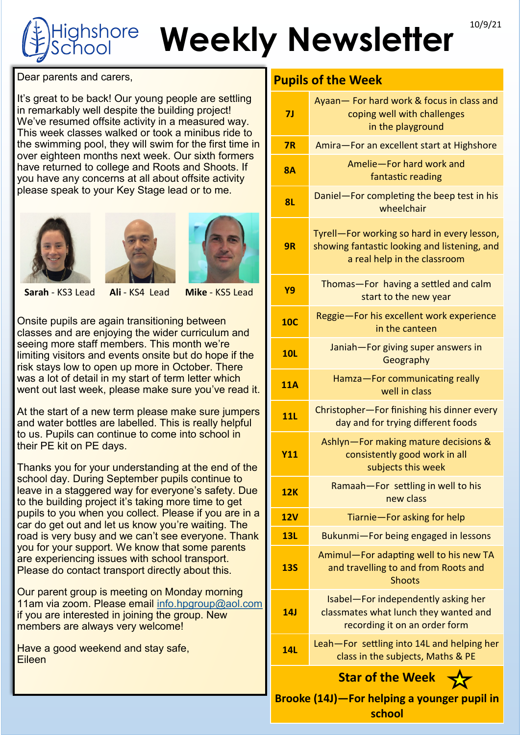## **Weekly Newsletter** 10/9/21 ghshore

Dear parents and carers,

It's great to be back! Our young people are settling in remarkably well despite the building project! We've resumed offsite activity in a measured way. This week classes walked or took a minibus ride to the swimming pool, they will swim for the first time in over eighteen months next week. Our sixth formers have returned to college and Roots and Shoots. If you have any concerns at all about offsite activity please speak to your Key Stage lead or to me.







## **Sarah** - KS3 Lead **Ali** - KS4 Lead **Mike** - KS5 Lead

Onsite pupils are again transitioning between classes and are enjoying the wider curriculum and seeing more staff members. This month we're limiting visitors and events onsite but do hope if the risk stays low to open up more in October. There was a lot of detail in my start of term letter which went out last week, please make sure you've read it.

At the start of a new term please make sure jumpers and water bottles are labelled. This is really helpful to us. Pupils can continue to come into school in their PE kit on PE days.

Thanks you for your understanding at the end of the school day. During September pupils continue to leave in a staggered way for everyone's safety. Due to the building project it's taking more time to get pupils to you when you collect. Please if you are in a car do get out and let us know you're waiting. The road is very busy and we can't see everyone. Thank you for your support. We know that some parents are experiencing issues with school transport. Please do contact transport directly about this.

Our parent group is meeting on Monday morning 11am via zoom. Please email [info.hpgroup@aol.com](mailto:info.hpgroup@aol.com) if you are interested in joining the group. New members are always very welcome!

Have a good weekend and stay safe, Eileen

## **Pupils of the Week**

| 7 <sub>J</sub>                                                                   | Ayaan - For hard work & focus in class and<br>coping well with challenges<br>in the playground                              |  |
|----------------------------------------------------------------------------------|-----------------------------------------------------------------------------------------------------------------------------|--|
| 7R                                                                               | Amira-For an excellent start at Highshore                                                                                   |  |
| <b>8A</b>                                                                        | Amelie-For hard work and<br>fantastic reading                                                                               |  |
| <b>8L</b>                                                                        | Daniel-For completing the beep test in his<br>wheelchair                                                                    |  |
| 9R                                                                               | Tyrell-For working so hard in every lesson,<br>showing fantastic looking and listening, and<br>a real help in the classroom |  |
| Y9                                                                               | Thomas-For having a settled and calm<br>start to the new year                                                               |  |
| <b>10C</b>                                                                       | Reggie-For his excellent work experience<br>in the canteen                                                                  |  |
| <b>10L</b>                                                                       | Janiah-For giving super answers in<br>Geography                                                                             |  |
| <b>11A</b>                                                                       | Hamza-For communicating really<br>well in class                                                                             |  |
| <b>11L</b>                                                                       | Christopher-For finishing his dinner every<br>day and for trying different foods                                            |  |
| <b>Y11</b>                                                                       | Ashlyn-For making mature decisions &<br>consistently good work in all<br>subjects this week                                 |  |
| <b>12K</b>                                                                       | Ramaah-For settling in well to his<br>new class                                                                             |  |
| 12V                                                                              | Tiarnie-For asking for help                                                                                                 |  |
| 13L                                                                              | Bukunmi-For being engaged in lessons                                                                                        |  |
| <b>13S</b>                                                                       | Amimul-For adapting well to his new TA<br>and travelling to and from Roots and<br><b>Shoots</b>                             |  |
| 14J                                                                              | Isabel-For independently asking her<br>classmates what lunch they wanted and<br>recording it on an order form               |  |
| <b>14L</b>                                                                       | Leah-For settling into 14L and helping her<br>class in the subjects, Maths & PE                                             |  |
| <b>Star of the Week</b><br>Brooke (14J)-For helping a younger pupil in<br>school |                                                                                                                             |  |